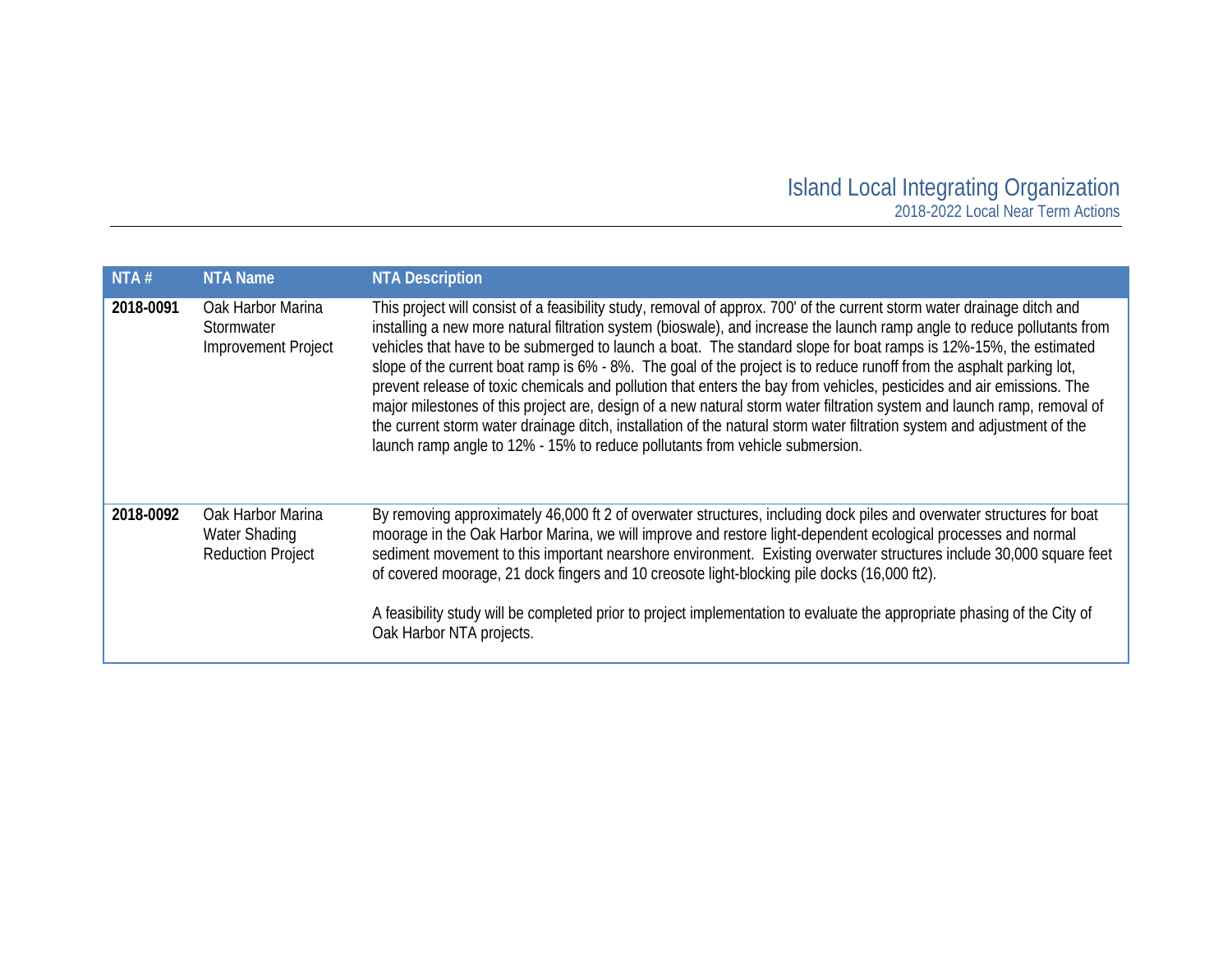## Island Local Integrating Organization 2018-2022 Local Near Term Actions

| NTA#      | <b>NTA Name</b>                                                       | <b>NTA Description</b>                                                                                                                                                                                                                                                                                                                                                                                                                                                                                                                                                                                                                                                                                                                                                                                                                                                                                                                                         |
|-----------|-----------------------------------------------------------------------|----------------------------------------------------------------------------------------------------------------------------------------------------------------------------------------------------------------------------------------------------------------------------------------------------------------------------------------------------------------------------------------------------------------------------------------------------------------------------------------------------------------------------------------------------------------------------------------------------------------------------------------------------------------------------------------------------------------------------------------------------------------------------------------------------------------------------------------------------------------------------------------------------------------------------------------------------------------|
| 2018-0091 | Oak Harbor Marina<br>Stormwater<br>Improvement Project                | This project will consist of a feasibility study, removal of approx. 700' of the current storm water drainage ditch and<br>installing a new more natural filtration system (bioswale), and increase the launch ramp angle to reduce pollutants from<br>vehicles that have to be submerged to launch a boat. The standard slope for boat ramps is 12%-15%, the estimated<br>slope of the current boat ramp is 6% - 8%. The goal of the project is to reduce runoff from the asphalt parking lot,<br>prevent release of toxic chemicals and pollution that enters the bay from vehicles, pesticides and air emissions. The<br>major milestones of this project are, design of a new natural storm water filtration system and launch ramp, removal of<br>the current storm water drainage ditch, installation of the natural storm water filtration system and adjustment of the<br>launch ramp angle to 12% - 15% to reduce pollutants from vehicle submersion. |
| 2018-0092 | Oak Harbor Marina<br><b>Water Shading</b><br><b>Reduction Project</b> | By removing approximately 46,000 ft 2 of overwater structures, including dock piles and overwater structures for boat<br>moorage in the Oak Harbor Marina, we will improve and restore light-dependent ecological processes and normal<br>sediment movement to this important nearshore environment. Existing overwater structures include 30,000 square feet<br>of covered moorage, 21 dock fingers and 10 creosote light-blocking pile docks (16,000 ft2).<br>A feasibility study will be completed prior to project implementation to evaluate the appropriate phasing of the City of<br>Oak Harbor NTA projects.                                                                                                                                                                                                                                                                                                                                           |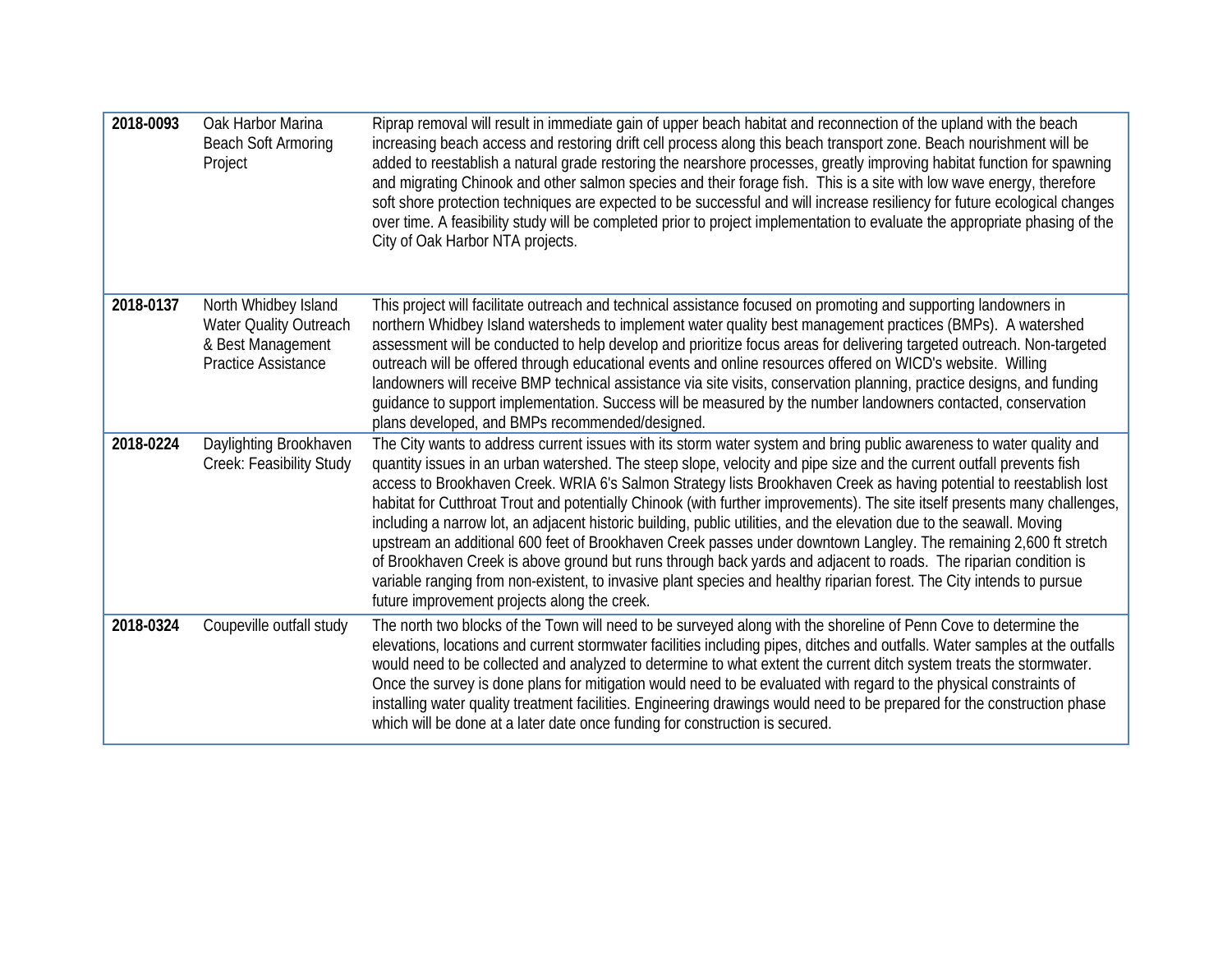| 2018-0093 | Oak Harbor Marina<br><b>Beach Soft Armoring</b><br>Project                                        | Riprap removal will result in immediate gain of upper beach habitat and reconnection of the upland with the beach<br>increasing beach access and restoring drift cell process along this beach transport zone. Beach nourishment will be<br>added to reestablish a natural grade restoring the nearshore processes, greatly improving habitat function for spawning<br>and migrating Chinook and other salmon species and their forage fish. This is a site with low wave energy, therefore<br>soft shore protection techniques are expected to be successful and will increase resiliency for future ecological changes<br>over time. A feasibility study will be completed prior to project implementation to evaluate the appropriate phasing of the<br>City of Oak Harbor NTA projects.                                                                                                                                                                                                                                                  |
|-----------|---------------------------------------------------------------------------------------------------|----------------------------------------------------------------------------------------------------------------------------------------------------------------------------------------------------------------------------------------------------------------------------------------------------------------------------------------------------------------------------------------------------------------------------------------------------------------------------------------------------------------------------------------------------------------------------------------------------------------------------------------------------------------------------------------------------------------------------------------------------------------------------------------------------------------------------------------------------------------------------------------------------------------------------------------------------------------------------------------------------------------------------------------------|
| 2018-0137 | North Whidbey Island<br>Water Quality Outreach<br>& Best Management<br><b>Practice Assistance</b> | This project will facilitate outreach and technical assistance focused on promoting and supporting landowners in<br>northern Whidbey Island watersheds to implement water quality best management practices (BMPs). A watershed<br>assessment will be conducted to help develop and prioritize focus areas for delivering targeted outreach. Non-targeted<br>outreach will be offered through educational events and online resources offered on WICD's website. Willing<br>landowners will receive BMP technical assistance via site visits, conservation planning, practice designs, and funding<br>guidance to support implementation. Success will be measured by the number landowners contacted, conservation<br>plans developed, and BMPs recommended/designed.                                                                                                                                                                                                                                                                       |
| 2018-0224 | Daylighting Brookhaven<br>Creek: Feasibility Study                                                | The City wants to address current issues with its storm water system and bring public awareness to water quality and<br>quantity issues in an urban watershed. The steep slope, velocity and pipe size and the current outfall prevents fish<br>access to Brookhaven Creek. WRIA 6's Salmon Strategy lists Brookhaven Creek as having potential to reestablish lost<br>habitat for Cutthroat Trout and potentially Chinook (with further improvements). The site itself presents many challenges,<br>including a narrow lot, an adjacent historic building, public utilities, and the elevation due to the seawall. Moving<br>upstream an additional 600 feet of Brookhaven Creek passes under downtown Langley. The remaining 2,600 ft stretch<br>of Brookhaven Creek is above ground but runs through back yards and adjacent to roads. The riparian condition is<br>variable ranging from non-existent, to invasive plant species and healthy riparian forest. The City intends to pursue<br>future improvement projects along the creek. |
| 2018-0324 | Coupeville outfall study                                                                          | The north two blocks of the Town will need to be surveyed along with the shoreline of Penn Cove to determine the<br>elevations, locations and current stormwater facilities including pipes, ditches and outfalls. Water samples at the outfalls<br>would need to be collected and analyzed to determine to what extent the current ditch system treats the stormwater.<br>Once the survey is done plans for mitigation would need to be evaluated with regard to the physical constraints of<br>installing water quality treatment facilities. Engineering drawings would need to be prepared for the construction phase<br>which will be done at a later date once funding for construction is secured.                                                                                                                                                                                                                                                                                                                                    |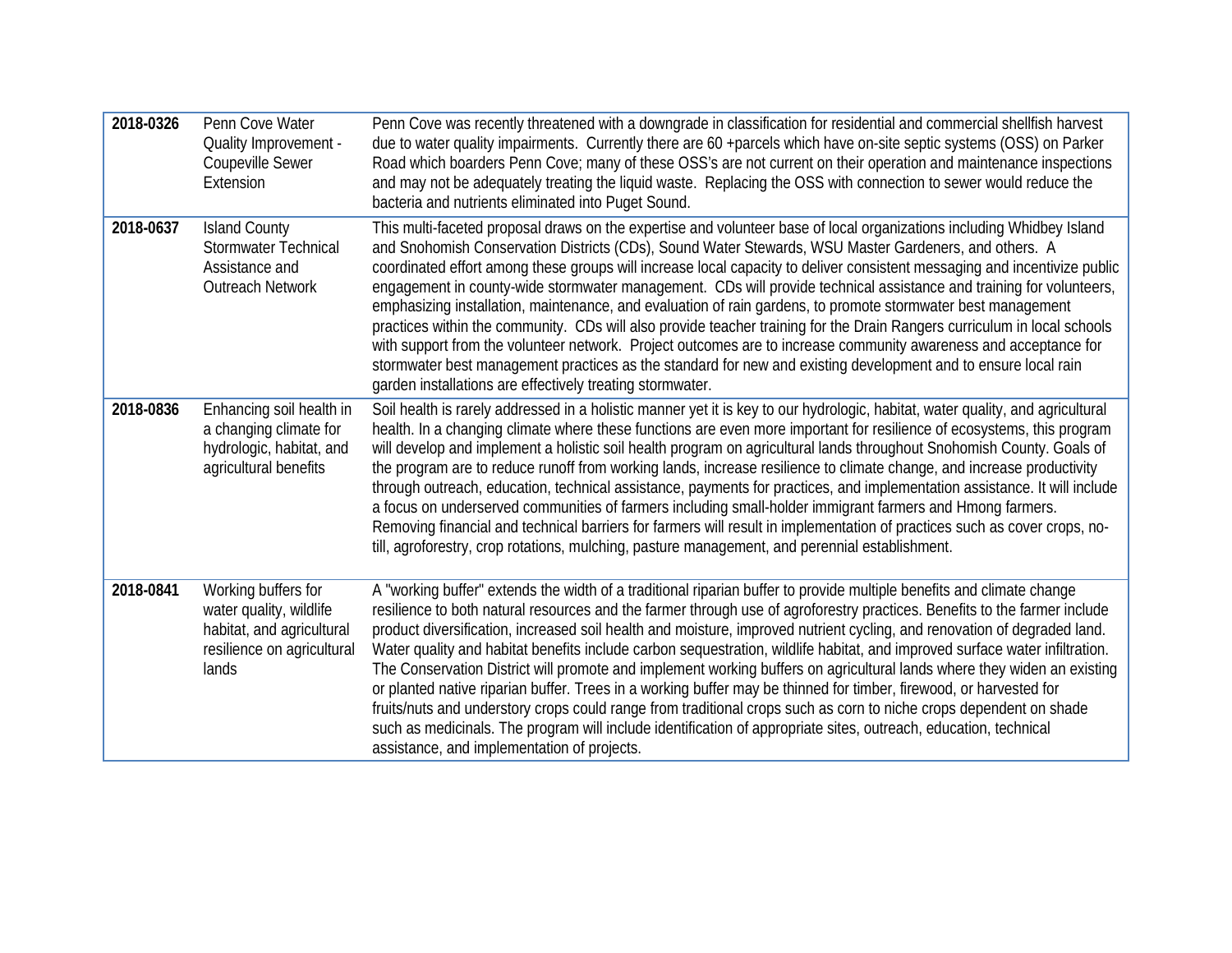| 2018-0326 | Penn Cove Water<br><b>Quality Improvement -</b><br>Coupeville Sewer<br>Extension                                   | Penn Cove was recently threatened with a downgrade in classification for residential and commercial shellfish harvest<br>due to water quality impairments. Currently there are 60 +parcels which have on-site septic systems (OSS) on Parker<br>Road which boarders Penn Cove; many of these OSS's are not current on their operation and maintenance inspections<br>and may not be adequately treating the liquid waste. Replacing the OSS with connection to sewer would reduce the<br>bacteria and nutrients eliminated into Puget Sound.                                                                                                                                                                                                                                                                                                                                                                                                                                                                                                            |
|-----------|--------------------------------------------------------------------------------------------------------------------|---------------------------------------------------------------------------------------------------------------------------------------------------------------------------------------------------------------------------------------------------------------------------------------------------------------------------------------------------------------------------------------------------------------------------------------------------------------------------------------------------------------------------------------------------------------------------------------------------------------------------------------------------------------------------------------------------------------------------------------------------------------------------------------------------------------------------------------------------------------------------------------------------------------------------------------------------------------------------------------------------------------------------------------------------------|
| 2018-0637 | <b>Island County</b><br>Stormwater Technical<br>Assistance and<br>Outreach Network                                 | This multi-faceted proposal draws on the expertise and volunteer base of local organizations including Whidbey Island<br>and Snohomish Conservation Districts (CDs), Sound Water Stewards, WSU Master Gardeners, and others. A<br>coordinated effort among these groups will increase local capacity to deliver consistent messaging and incentivize public<br>engagement in county-wide stormwater management. CDs will provide technical assistance and training for volunteers,<br>emphasizing installation, maintenance, and evaluation of rain gardens, to promote stormwater best management<br>practices within the community. CDs will also provide teacher training for the Drain Rangers curriculum in local schools<br>with support from the volunteer network. Project outcomes are to increase community awareness and acceptance for<br>stormwater best management practices as the standard for new and existing development and to ensure local rain<br>garden installations are effectively treating stormwater.                       |
| 2018-0836 | Enhancing soil health in<br>a changing climate for<br>hydrologic, habitat, and<br>agricultural benefits            | Soil health is rarely addressed in a holistic manner yet it is key to our hydrologic, habitat, water quality, and agricultural<br>health. In a changing climate where these functions are even more important for resilience of ecosystems, this program<br>will develop and implement a holistic soil health program on agricultural lands throughout Snohomish County. Goals of<br>the program are to reduce runoff from working lands, increase resilience to climate change, and increase productivity<br>through outreach, education, technical assistance, payments for practices, and implementation assistance. It will include<br>a focus on underserved communities of farmers including small-holder immigrant farmers and Hmong farmers.<br>Removing financial and technical barriers for farmers will result in implementation of practices such as cover crops, no-<br>till, agroforestry, crop rotations, mulching, pasture management, and perennial establishment.                                                                     |
| 2018-0841 | Working buffers for<br>water quality, wildlife<br>habitat, and agricultural<br>resilience on agricultural<br>lands | A "working buffer" extends the width of a traditional riparian buffer to provide multiple benefits and climate change<br>resilience to both natural resources and the farmer through use of agroforestry practices. Benefits to the farmer include<br>product diversification, increased soil health and moisture, improved nutrient cycling, and renovation of degraded land.<br>Water quality and habitat benefits include carbon sequestration, wildlife habitat, and improved surface water infiltration.<br>The Conservation District will promote and implement working buffers on agricultural lands where they widen an existing<br>or planted native riparian buffer. Trees in a working buffer may be thinned for timber, firewood, or harvested for<br>fruits/nuts and understory crops could range from traditional crops such as corn to niche crops dependent on shade<br>such as medicinals. The program will include identification of appropriate sites, outreach, education, technical<br>assistance, and implementation of projects. |